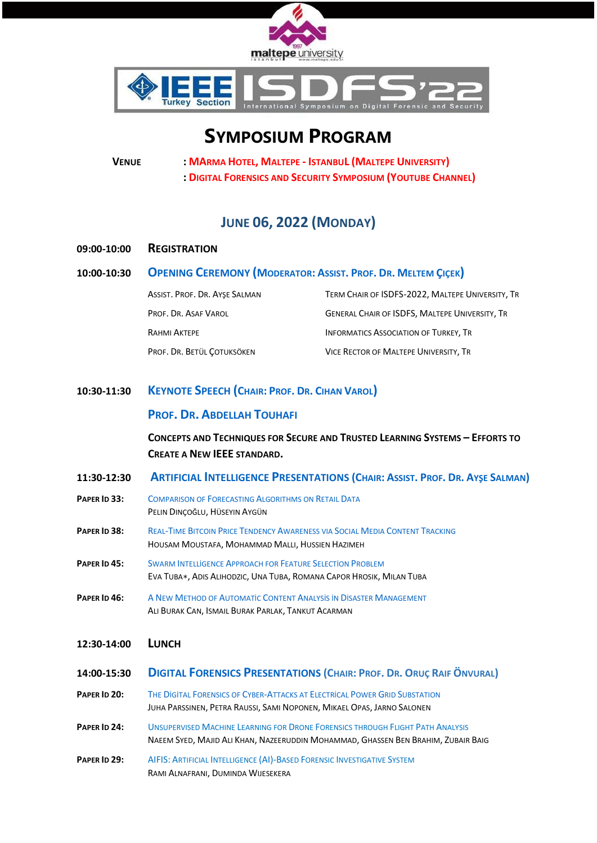



# **SYMPOSIUM PROGRAM**

**VENUE : MARMA HOTEL, MALTEPE - ISTANBUL (MALTEPE UNIVERSITY) : DIGITAL F[ORENSICS AND](https://www.youtube.com/channel/UCjBGMWsB2jwZ4qbxNlV98Vg) SECURITY SYMPOSIUM (YOUTUBE CHANNEL)**

## **JUNE 06, 2022 (MONDAY)**

#### **09:00-10:00 REGISTRATION**

#### 10:00-10:30 OPENING C[EREMONY](https://www.youtube.com/channel/UCjBGMWsB2jwZ4qbxNlV98Vg) (MODERATOR: ASSIST. PROF. DR. MELTEM ÇIÇEK)

| Assist. Prof. Dr. Ayse Salman | TERM CHAIR OF ISDFS-2022, MALTEPE UNIVERSITY, TR      |
|-------------------------------|-------------------------------------------------------|
| PROF. DR. ASAF VAROL          | <b>GENERAL CHAIR OF ISDFS, MALTEPE UNIVERSITY, TR</b> |
| RAHMI AKTEPE                  | <b>INFORMATICS ASSOCIATION OF TURKEY, TR</b>          |
| Prof. Dr. Betül Cotuksöken    | VICE RECTOR OF MALTEPE UNIVERSITY, TR                 |

### **10:30-11:30 K[EYNOTE](https://www.youtube.com/channel/UCjBGMWsB2jwZ4qbxNlV98Vg) SPEECH (CHAIR: PROF. DR. CIHAN VAROL)**

#### **PROF. DR. ABDELLAH TOUHAFI**

**CONCEPTS AND TECHNIQUES FOR SECURE AND TRUSTED LEARNING SYSTEMS – EFFORTS TO CREATE A NEW IEEE STANDARD.**

- 11:30-12:30 ARTIFICIAL INTELLIGENCE P[RESENTATIONS](https://www.youtube.com/channel/UCjBGMWsB2jwZ4qbxNlV98Vg) (CHAIR: ASSIST. PROF. DR. AYSE SALMAN)
- **PAPER ID 33:** COMPARISON OF FORECASTING ALGORITHMS ON RETAIL DATA PELIN DINÇOĞLU, HÜSEYIN AYGÜN
- **PAPER ID 38:** REAL-TIME BITCOIN PRICE TENDENCY AWARENESS VIA SOCIAL MEDIA CONTENT TRACKING HOUSAM MOUSTAFA, MOHAMMAD MALLI, HUSSIEN HAZIMEH
- **PAPER ID 45:** SWARM INTELLİGENCE APPROACH FOR FEATURE SELECTİON PROBLEM EVA TUBA∗, ADIS ALIHODZIC, UNA TUBA, ROMANA CAPOR HROSIK, MILAN TUBA
- **PAPER ID 46:** A NEW METHOD OF AUTOMATİC CONTENT ANALYSİS İN DİSASTER MANAGEMENT ALI BURAK CAN, ISMAIL BURAK PARLAK, TANKUT ACARMAN

#### **12:30-14:00 LUNCH**

- 14:00-15:30 DIGITAL FORENSICS P[RESENTATIONS](https://www.youtube.com/channel/UCjBGMWsB2jwZ4qbxNlV98Vg) (CHAIR: PROF. DR. ORUÇ RAIF ÖNVURAL)
- **PAPER ID 20:** THE DİGİTAL FORENSICS OF CYBER-ATTACKS AT ELECTRİCAL POWER GRID SUBSTATION JUHA PARSSINEN, PETRA RAUSSI, SAMI NOPONEN, MIKAEL OPAS, JARNO SALONEN
- **PAPER ID 24:** UNSUPERVISED MACHINE LEARNING FOR DRONE FORENSICS THROUGH FLIGHT PATH ANALYSIS NAEEM SYED, MAJID ALI KHAN, NAZEERUDDIN MOHAMMAD, GHASSEN BEN BRAHIM, ZUBAIR BAIG
- **PAPER ID 29:** AIFIS: ARTIFICIAL INTELLIGENCE (AI)-BASED FORENSIC INVESTIGATIVE SYSTEM RAMI ALNAFRANI, DUMINDA WIJESEKERA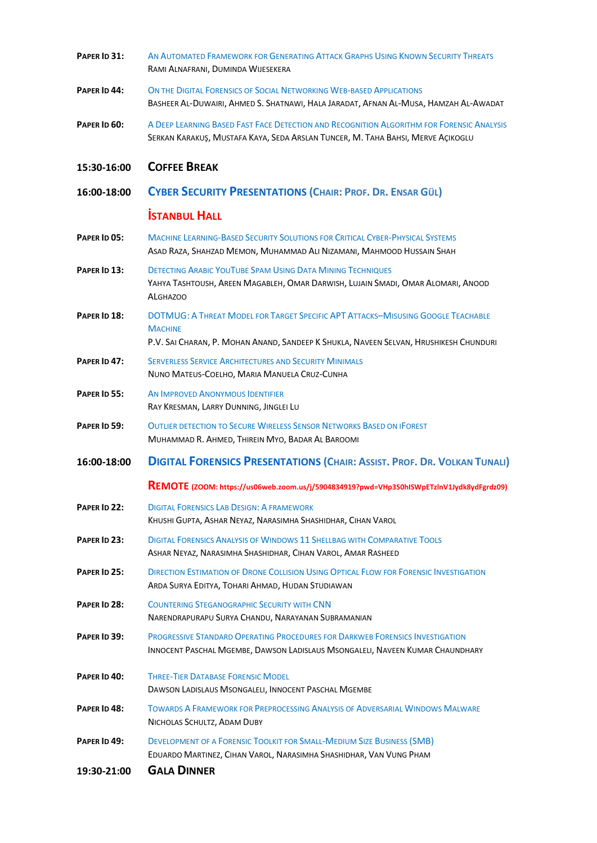| PAPER ID 31: | AN AUTOMATED FRAMEWORK FOR GENERATING ATTACK GRAPHS USING KNOWN SECURITY THREATS<br>RAMI ALNAFRANI, DUMINDA WIJESEKERA                                                                             |
|--------------|----------------------------------------------------------------------------------------------------------------------------------------------------------------------------------------------------|
| PAPER ID 44: | ON THE DIGITAL FORENSICS OF SOCIAL NETWORKING WEB-BASED APPLICATIONS<br>BASHEER AL-DUWAIRI, AHMED S. SHATNAWI, HALA JARADAT, AFNAN AL-MUSA, HAMZAH AL-AWADAT                                       |
| PAPER ID 60: | A DEEP LEARNING BASED FAST FACE DETECTION AND RECOGNITION ALGORITHM FOR FORENSIC ANALYSIS<br>SERKAN KARAKUŞ, MUSTAFA KAYA, SEDA ARSLAN TUNCER, M. TAHA BAHSI, MERVE AÇIKOGLU                       |
| 15:30-16:00  | <b>COFFEE BREAK</b>                                                                                                                                                                                |
| 16:00-18:00  | <b>CYBER SECURITY PRESENTATIONS (CHAIR: PROF. DR. ENSAR GÜL)</b>                                                                                                                                   |
|              | <b>ISTANBUL HALL</b>                                                                                                                                                                               |
| PAPER ID 05: | <b>MACHINE LEARNING-BASED SECURITY SOLUTIONS FOR CRITICAL CYBER-PHYSICAL SYSTEMS</b><br>ASAD RAZA, SHAHZAD MEMON, MUHAMMAD ALI NIZAMANI, MAHMOOD HUSSAIN SHAH                                      |
| PAPER ID 13: | <b>DETECTING ARABIC YOUTUBE SPAM USING DATA MINING TECHNIQUES</b><br>YAHYA TASHTOUSH, AREEN MAGABLEH, OMAR DARWISH, LUJAIN SMADI, OMAR ALOMARI, ANOOD<br><b>ALGHAZOO</b>                           |
| PAPER ID 18: | <b>DOTMUG: A THREAT MODEL FOR TARGET SPECIFIC APT ATTACKS-MISUSING GOOGLE TEACHABLE</b><br><b>MACHINE</b><br>P.V. SAI CHARAN, P. MOHAN ANAND, SANDEEP K SHUKLA, NAVEEN SELVAN, HRUSHIKESH CHUNDURI |
| PAPER ID 47: | <b>SERVERLESS SERVICE ARCHITECTURES AND SECURITY MINIMALS</b><br>NUNO MATEUS-COELHO, MARIA MANUELA CRUZ-CUNHA                                                                                      |
| PAPER ID 55: | AN IMPROVED ANONYMOUS IDENTIFIER<br>RAY KRESMAN, LARRY DUNNING, JINGLEI LU                                                                                                                         |
| PAPER ID 59: | <b>OUTLIER DETECTION TO SECURE WIRELESS SENSOR NETWORKS BASED ON IFOREST</b><br>MUHAMMAD R. AHMED, THIREIN MYO, BADAR AL BAROOMI                                                                   |
| 16:00-18:00  | <b>DIGITAL FORENSICS PRESENTATIONS (CHAIR: ASSIST. PROF. DR. VOLKAN TUNALI)</b>                                                                                                                    |
|              | REMOTE (ZOOM: https://us06web.zoom.us/j/5904834919?pwd=VHp3S0hISWpETzInV1Jydk8ydFgrdz09)                                                                                                           |
| PAPER ID 22: | <b>DIGITAL FORENSICS LAB DESIGN: A FRAMEWORK</b><br>KHUSHI GUPTA, ASHAR NEYAZ, NARASIMHA SHASHIDHAR, CIHAN VAROL                                                                                   |
| PAPER ID 23: | <b>DIGITAL FORENSICS ANALYSIS OF WINDOWS 11 SHELLBAG WITH COMPARATIVE TOOLS</b><br>ASHAR NEYAZ, NARASIMHA SHASHIDHAR, CIHAN VAROL, AMAR RASHEED                                                    |
| PAPER ID 25: | <b>DIRECTION ESTIMATION OF DRONE COLLISION USING OPTICAL FLOW FOR FORENSIC INVESTIGATION</b><br>ARDA SURYA EDITYA, TOHARI AHMAD, HUDAN STUDIAWAN                                                   |
| PAPER ID 28: | <b>COUNTERING STEGANOGRAPHIC SECURITY WITH CNN</b><br>NARENDRAPURAPU SURYA CHANDU, NARAYANAN SUBRAMANIAN                                                                                           |
| PAPER ID 39: | <b>PROGRESSIVE STANDARD OPERATING PROCEDURES FOR DARKWEB FORENSICS INVESTIGATION</b><br>INNOCENT PASCHAL MGEMBE, DAWSON LADISLAUS MSONGALELI, NAVEEN KUMAR CHAUNDHARY                              |
| PAPER ID 40: | <b>THREE-TIER DATABASE FORENSIC MODEL</b><br>DAWSON LADISLAUS MSONGALELI, INNOCENT PASCHAL MGEMBE                                                                                                  |
| PAPER ID 48: | <b>TOWARDS A FRAMEWORK FOR PREPROCESSING ANALYSIS OF ADVERSARIAL WINDOWS MALWARE</b><br>NICHOLAS SCHULTZ, ADAM DUBY                                                                                |
| PAPER ID 49: | DEVELOPMENT OF A FORENSIC TOOLKIT FOR SMALL-MEDIUM SIZE BUSINESS (SMB)<br>EDUARDO MARTINEZ, CIHAN VAROL, NARASIMHA SHASHIDHAR, VAN VUNG PHAM                                                       |
| 19:30-21:00  | <b>GALA DINNER</b>                                                                                                                                                                                 |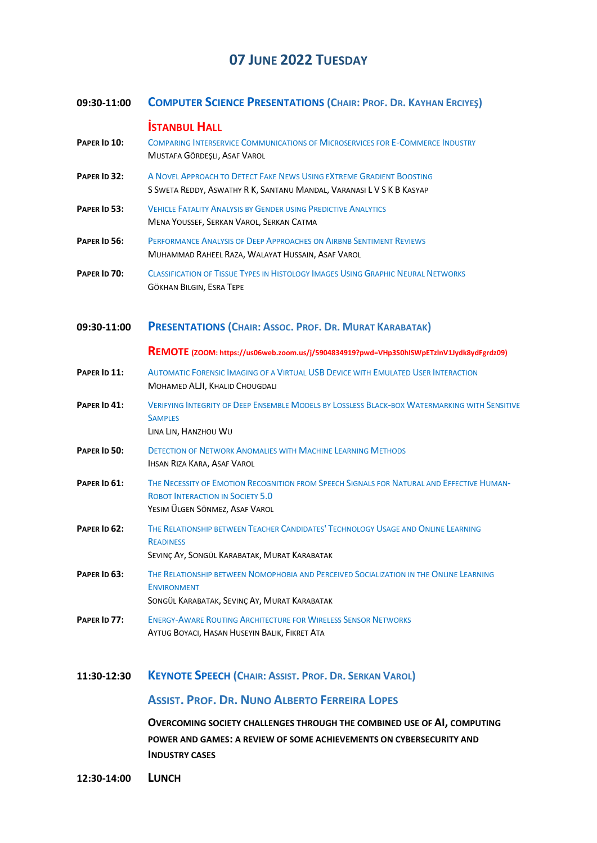## **07 JUNE 2022 TUESDAY**

| 09:30-11:00  | <b>COMPUTER SCIENCE PRESENTATIONS (CHAIR: PROF. DR. KAYHAN ERCIYES)</b>                                                                                                |
|--------------|------------------------------------------------------------------------------------------------------------------------------------------------------------------------|
| PAPER ID 10: | <b>İSTANBUL HALL</b><br><b>COMPARING INTERSERVICE COMMUNICATIONS OF MICROSERVICES FOR E-COMMERCE INDUSTRY</b><br>MUSTAFA GÖRDEŞLI, ASAF VAROL                          |
| PAPER ID 32: | A NOVEL APPROACH TO DETECT FAKE NEWS USING EXTREME GRADIENT BOOSTING<br>S SWETA REDDY, ASWATHY R K, SANTANU MANDAL, VARANASI L V S K B KASYAP                          |
| PAPER ID 53: | <b>VEHICLE FATALITY ANALYSIS BY GENDER USING PREDICTIVE ANALYTICS</b><br>MENA YOUSSEF, SERKAN VAROL, SERKAN CATMA                                                      |
| PAPER ID 56: | PERFORMANCE ANALYSIS OF DEEP APPROACHES ON AIRBNB SENTIMENT REVIEWS<br>MUHAMMAD RAHEEL RAZA, WALAYAT HUSSAIN, ASAF VAROL                                               |
| PAPER ID 70: | <b>CLASSIFICATION OF TISSUE TYPES IN HISTOLOGY IMAGES USING GRAPHIC NEURAL NETWORKS</b><br>GÖKHAN BILGIN, ESRA TEPE                                                    |
| 09:30-11:00  | <b>PRESENTATIONS (CHAIR: ASSOC. PROF. DR. MURAT KARABATAK)</b>                                                                                                         |
|              | REMOTE (ZOOM: https://us06web.zoom.us/j/5904834919?pwd=VHp3S0hISWpETzInV1Jydk8ydFgrdz09)                                                                               |
| PAPER ID 11: | <b>AUTOMATIC FORENSIC IMAGING OF A VIRTUAL USB DEVICE WITH EMULATED USER INTERACTION</b><br>MOHAMED ALJI, KHALID CHOUGDALI                                             |
| PAPER ID 41: | VERIFYING INTEGRITY OF DEEP ENSEMBLE MODELS BY LOSSLESS BLACK-BOX WATERMARKING WITH SENSITIVE<br><b>SAMPLES</b><br>LINA LIN, HANZHOU WU                                |
| PAPER ID 50: | <b>DETECTION OF NETWORK ANOMALIES WITH MACHINE LEARNING METHODS</b><br><b>IHSAN RIZA KARA, ASAF VAROL</b>                                                              |
| PAPER ID 61: | THE NECESSITY OF EMOTION RECOGNITION FROM SPEECH SIGNALS FOR NATURAL AND EFFECTIVE HUMAN-<br><b>ROBOT INTERACTION IN SOCIETY 5.0</b><br>YESIM ÜLGEN SÖNMEZ, ASAF VAROL |
| PAPER ID 62: | THE RELATIONSHIP BETWEEN TEACHER CANDIDATES' TECHNOLOGY USAGE AND ONLINE LEARNING<br><b>READINESS</b><br>SEVINÇ AY, SONGÜL KARABATAK, MURAT KARABATAK                  |
| PAPER ID 63: | THE RELATIONSHIP BETWEEN NOMOPHOBIA AND PERCEIVED SOCIALIZATION IN THE ONLINE LEARNING<br><b>ENVIRONMENT</b><br>SONGÜL KARABATAK, SEVINÇ AY, MURAT KARABATAK           |
| PAPER ID 77: | <b>ENERGY-AWARE ROUTING ARCHITECTURE FOR WIRELESS SENSOR NETWORKS</b><br>AYTUG BOYACI, HASAN HUSEYIN BALIK, FIKRET ATA                                                 |
| 11:30-12:30  | <b>KEYNOTE SPEECH (CHAIR: ASSIST. PROF. DR. SERKAN VAROL)</b>                                                                                                          |
|              | <b>ASSIST. PROF. DR. NUNO ALBERTO FERREIRA LOPES</b>                                                                                                                   |

**OVERCOMING SOCIETY CHALLENGES THROUGH THE COMBINED USE OF AI, COMPUTING POWER AND GAMES: A REVIEW OF SOME ACHIEVEMENTS ON CYBERSECURITY AND INDUSTRY CASES**

**12:30-14:00 LUNCH**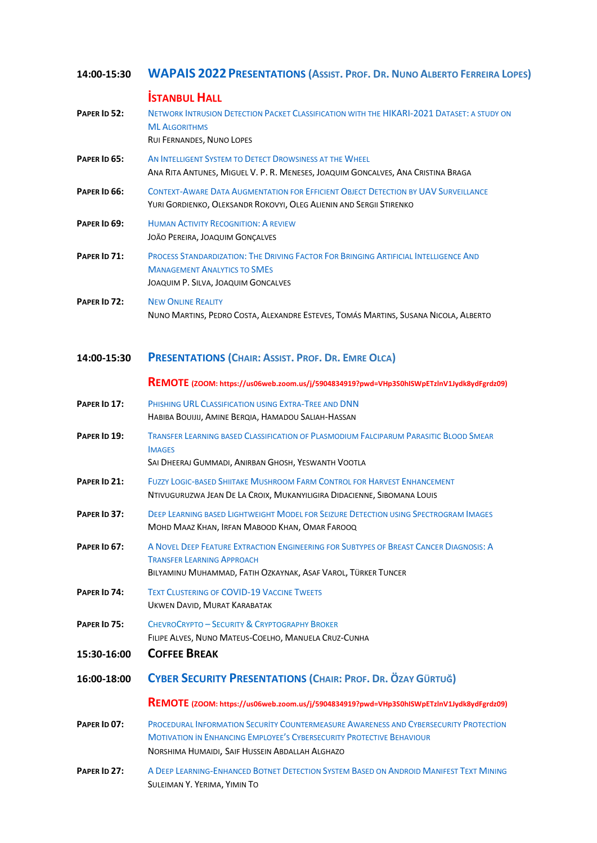#### 14:00-15:30 WAPAIS 2022 P[RESENTATIONS](https://www.youtube.com/channel/UCjBGMWsB2jwZ4qbxNlV98Vg) (ASSIST. PROF. DR. NUNO ALBERTO FERREIRA LOPES)

### **İSTANBUL HALL**

| PAPER ID 52: | NETWORK INTRUSION DETECTION PACKET CLASSIFICATION WITH THE HIKARI-2021 DATASET: A STUDY ON<br><b>ML ALGORITHMS</b><br>RUI FERNANDES, NUNO LOPES                           |
|--------------|---------------------------------------------------------------------------------------------------------------------------------------------------------------------------|
| PAPER ID 65: | AN INTELLIGENT SYSTEM TO DETECT DROWSINESS AT THE WHEEL<br>ANA RITA ANTUNES, MIGUEL V. P. R. MENESES, JOAQUIM GONCALVES, ANA CRISTINA BRAGA                               |
| PAPER ID 66: | CONTEXT-AWARE DATA AUGMENTATION FOR FEEICIENT OBJECT DETECTION BY UAV SURVEILLANCE<br>YURI GORDIENKO, OLEKSANDR ROKOVYI, OLEG ALIENIN AND SERGII STIRENKO                 |
| PAPER ID 69: | <b>HUMAN ACTIVITY RECOGNITION: A REVIEW</b><br>JOÃO PEREIRA, JOAQUIM GONCALVES                                                                                            |
| PAPER ID 71: | <b>PROCESS STANDARDIZATION: THE DRIVING EACTOR FOR BRINGING ARTIFICIAL INTELLIGENCE AND</b><br><b>MANAGEMENT ANALYTICS TO SMES</b><br>JOAQUIM P. SILVA, JOAQUIM GONCALVES |
| PAPER ID 72: | <b>NEW ONLINE REALITY</b><br>NUNO MARTINS, PEDRO COSTA, ALEXANDRE ESTEVES, TOMÁS MARTINS, SUSANA NICOLA, ALBERTO                                                          |

#### **14:00-15:30 P[RESENTATIONS](https://us06web.zoom.us/j/5904834919?pwd=VHp3S0hISWpETzlnV1Jydk8ydFgrdz09) (CHAIR: ASSIST. PROF. DR. EMRE OLCA)**

#### **REMOTE (ZOOM: https://us06web.zoom.us/j/5904834919?pwd=VHp3S0hISWpETzlnV1Jydk8ydFgrdz09)**

- **PAPER ID 17:** PHISHING URL CLASSIFICATION USING EXTRA-TREE AND DNN HABIBA BOUIJIJ, AMINE BERQIA, HAMADOU SALIAH-HASSAN
- **PAPER ID 19:** TRANSFER LEARNING BASED CLASSIFICATION OF PLASMODIUM FALCIPARUM PARASITIC BLOOD SMEAR IMAGES SAI DHEERAJ GUMMADI, ANIRBAN GHOSH, YESWANTH VOOTLA
- **PAPER ID 21:** FUZZY LOGIC-BASED SHIITAKE MUSHROOM FARM CONTROL FOR HARVEST ENHANCEMENT
	- NTIVUGURUZWA JEAN DE LA CROIX, MUKANYILIGIRA DIDACIENNE, SIBOMANA LOUIS
- **PAPER ID 37:** DEEP LEARNING BASED LIGHTWEIGHT MODEL FOR SEIZURE DETECTION USING SPECTROGRAM IMAGES MOHD MAAZ KHAN, IRFAN MABOOD KHAN, OMAR FAROOQ
- **PAPER <b>ID 67:** A NOVEL DEEP FEATURE EXTRACTION ENGINEERING FOR SUBTYPES OF BREAST CANCER DIAGNOSIS: A TRANSFER LEARNING APPROACH BILYAMINU MUHAMMAD, FATIH OZKAYNAK, ASAF VAROL, TÜRKER TUNCER
- **PAPER ID 74:** TEXT CLUSTERING OF COVID-19 VACCINE TWEETS UKWEN DAVID, MURAT KARABATAK
- **PAPER ID 75:** CHEVROCRYPTO SECURITY & CRYPTOGRAPHY BROKER FILIPE ALVES, NUNO MATEUS-COELHO, MANUELA CRUZ-CUNHA
- **15:30-16:00 COFFEE BREAK**
- **16:00-18:00 CYBER SECURITY P[RESENTATIONS](https://us06web.zoom.us/j/5904834919?pwd=VHp3S0hISWpETzlnV1Jydk8ydFgrdz09) (CHAIR: PROF. DR. ÖZAY GÜRTUĞ)**

#### **REMOTE (ZOOM: https://us06web.zoom.us/j/5904834919?pwd=VHp3S0hISWpETzlnV1Jydk8ydFgrdz09)**

- **PAPER ID 07:** PROCEDURAL INFORMATION SECURİTY COUNTERMEASURE AWARENESS AND CYBERSECURITY PROTECTİON MOTIVATION İN ENHANCING EMPLOYEE'S CYBERSECURITY PROTECTIVE BEHAVIOUR NORSHIMA HUMAIDI, SAIF HUSSEIN ABDALLAH ALGHAZO
- **PAPER ID 27:** A DEEP LEARNING-ENHANCED BOTNET DETECTION SYSTEM BASED ON ANDROID MANIFEST TEXT MINING SULEIMAN Y. YERIMA, YIMIN TO